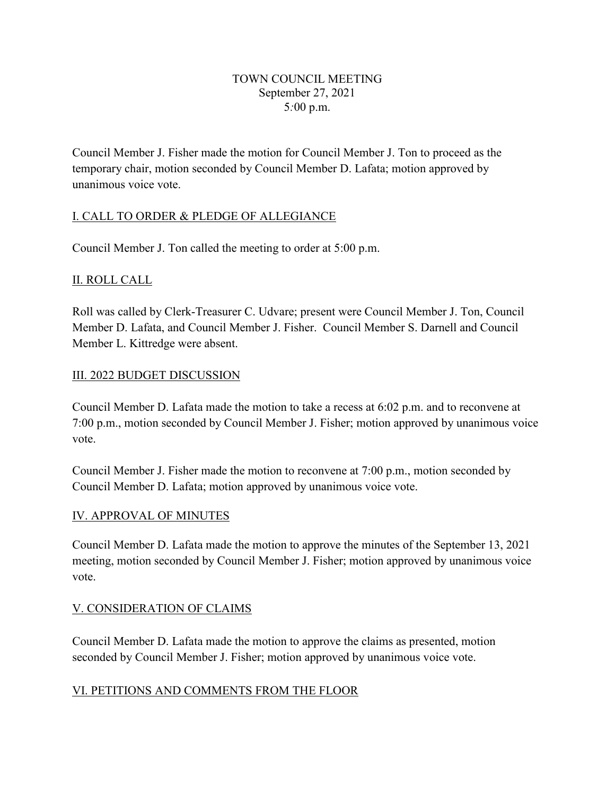#### TOWN COUNCIL MEETING September 27, 2021 5*:*00 p.m.

Council Member J. Fisher made the motion for Council Member J. Ton to proceed as the temporary chair, motion seconded by Council Member D. Lafata; motion approved by unanimous voice vote.

### I. CALL TO ORDER & PLEDGE OF ALLEGIANCE

Council Member J. Ton called the meeting to order at 5:00 p.m.

### II. ROLL CALL

Roll was called by Clerk-Treasurer C. Udvare; present were Council Member J. Ton, Council Member D. Lafata, and Council Member J. Fisher. Council Member S. Darnell and Council Member L. Kittredge were absent.

### III. 2022 BUDGET DISCUSSION

Council Member D. Lafata made the motion to take a recess at 6:02 p.m. and to reconvene at 7:00 p.m., motion seconded by Council Member J. Fisher; motion approved by unanimous voice vote.

Council Member J. Fisher made the motion to reconvene at 7:00 p.m., motion seconded by Council Member D. Lafata; motion approved by unanimous voice vote.

### IV. APPROVAL OF MINUTES

Council Member D. Lafata made the motion to approve the minutes of the September 13, 2021 meeting, motion seconded by Council Member J. Fisher; motion approved by unanimous voice vote.

## V. CONSIDERATION OF CLAIMS

Council Member D. Lafata made the motion to approve the claims as presented, motion seconded by Council Member J. Fisher; motion approved by unanimous voice vote.

### VI. PETITIONS AND COMMENTS FROM THE FLOOR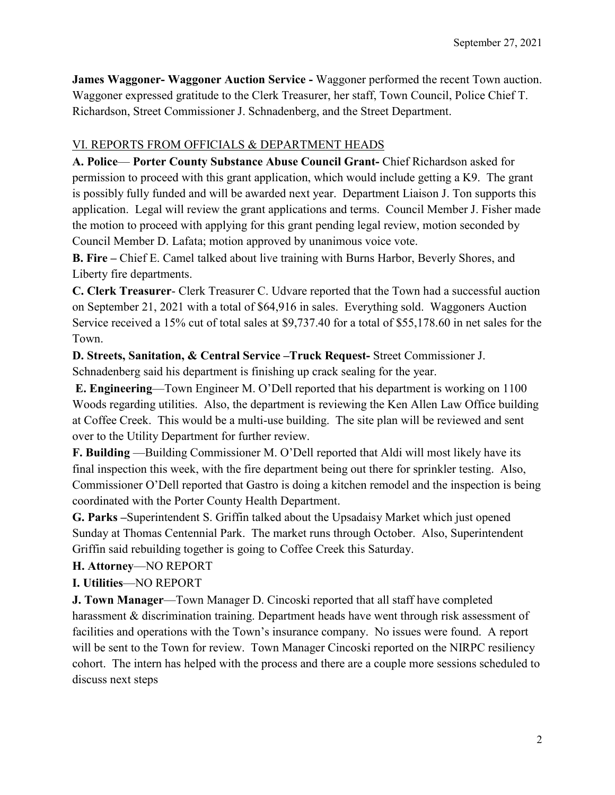**James Waggoner- Waggoner Auction Service -** Waggoner performed the recent Town auction. Waggoner expressed gratitude to the Clerk Treasurer, her staff, Town Council, Police Chief T. Richardson, Street Commissioner J. Schnadenberg, and the Street Department.

# VI. REPORTS FROM OFFICIALS & DEPARTMENT HEADS

**A. Police**— **Porter County Substance Abuse Council Grant-** Chief Richardson asked for permission to proceed with this grant application, which would include getting a K9. The grant is possibly fully funded and will be awarded next year. Department Liaison J. Ton supports this application. Legal will review the grant applications and terms. Council Member J. Fisher made the motion to proceed with applying for this grant pending legal review, motion seconded by Council Member D. Lafata; motion approved by unanimous voice vote.

**B. Fire –** Chief E. Camel talked about live training with Burns Harbor, Beverly Shores, and Liberty fire departments.

**C. Clerk Treasurer**- Clerk Treasurer C. Udvare reported that the Town had a successful auction on September 21, 2021 with a total of \$64,916 in sales. Everything sold. Waggoners Auction Service received a 15% cut of total sales at \$9,737.40 for a total of \$55,178.60 in net sales for the Town.

**D. Streets, Sanitation, & Central Service –Truck Request-** Street Commissioner J.

Schnadenberg said his department is finishing up crack sealing for the year.

**E. Engineering**—Town Engineer M. O'Dell reported that his department is working on 1100 Woods regarding utilities. Also, the department is reviewing the Ken Allen Law Office building at Coffee Creek. This would be a multi-use building. The site plan will be reviewed and sent over to the Utility Department for further review.

**F. Building** —Building Commissioner M. O'Dell reported that Aldi will most likely have its final inspection this week, with the fire department being out there for sprinkler testing. Also, Commissioner O'Dell reported that Gastro is doing a kitchen remodel and the inspection is being coordinated with the Porter County Health Department.

**G. Parks –**Superintendent S. Griffin talked about the Upsadaisy Market which just opened Sunday at Thomas Centennial Park. The market runs through October. Also, Superintendent Griffin said rebuilding together is going to Coffee Creek this Saturday.

## **H. Attorney**—NO REPORT

## **I. Utilities**—NO REPORT

**J. Town Manager**—Town Manager D. Cincoski reported that all staff have completed harassment & discrimination training. Department heads have went through risk assessment of facilities and operations with the Town's insurance company. No issues were found. A report will be sent to the Town for review. Town Manager Cincoski reported on the NIRPC resiliency cohort. The intern has helped with the process and there are a couple more sessions scheduled to discuss next steps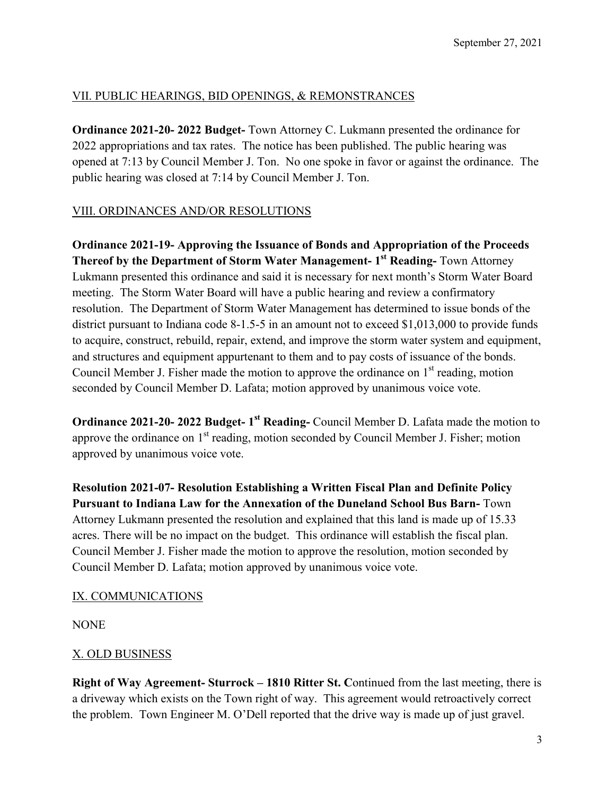### VII. PUBLIC HEARINGS, BID OPENINGS, & REMONSTRANCES

**Ordinance 2021-20- 2022 Budget-** Town Attorney C. Lukmann presented the ordinance for 2022 appropriations and tax rates. The notice has been published. The public hearing was opened at 7:13 by Council Member J. Ton. No one spoke in favor or against the ordinance. The public hearing was closed at 7:14 by Council Member J. Ton.

### VIII. ORDINANCES AND/OR RESOLUTIONS

### **Ordinance 2021-19- Approving the Issuance of Bonds and Appropriation of the Proceeds Thereof by the Department of Storm Water Management- 1st Reading-** Town Attorney

Lukmann presented this ordinance and said it is necessary for next month's Storm Water Board meeting. The Storm Water Board will have a public hearing and review a confirmatory resolution. The Department of Storm Water Management has determined to issue bonds of the district pursuant to Indiana code 8-1.5-5 in an amount not to exceed \$1,013,000 to provide funds to acquire, construct, rebuild, repair, extend, and improve the storm water system and equipment, and structures and equipment appurtenant to them and to pay costs of issuance of the bonds. Council Member J. Fisher made the motion to approve the ordinance on  $1<sup>st</sup>$  reading, motion seconded by Council Member D. Lafata; motion approved by unanimous voice vote.

**Ordinance 2021-20- 2022 Budget- 1st Reading-** Council Member D. Lafata made the motion to approve the ordinance on  $1<sup>st</sup>$  reading, motion seconded by Council Member J. Fisher; motion approved by unanimous voice vote.

**Resolution 2021-07- Resolution Establishing a Written Fiscal Plan and Definite Policy Pursuant to Indiana Law for the Annexation of the Duneland School Bus Barn-** Town Attorney Lukmann presented the resolution and explained that this land is made up of 15.33 acres. There will be no impact on the budget. This ordinance will establish the fiscal plan. Council Member J. Fisher made the motion to approve the resolution, motion seconded by Council Member D. Lafata; motion approved by unanimous voice vote.

### IX. COMMUNICATIONS

**NONE** 

## X. OLD BUSINESS

**Right of Way Agreement- Sturrock – 1810 Ritter St. C**ontinued from the last meeting, there is a driveway which exists on the Town right of way. This agreement would retroactively correct the problem. Town Engineer M. O'Dell reported that the drive way is made up of just gravel.